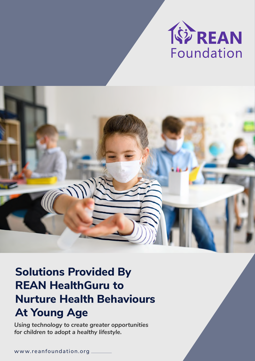



# **Nurture Health Behaviours At Young Age Solutions Provided By REAN HealthGuru to**

*Using technology to create greater opportunities for children to adopt a healthy lifestyle.*

w ww.reanfoundation.org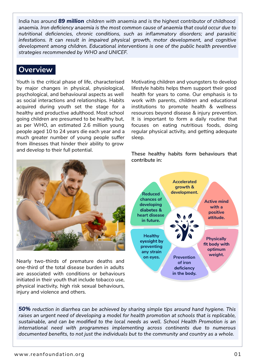*India has around 89 million children with anaemia and is the highest contributor of childhood*  anaemia. Iron deficiency anaemia is the most common cause of anaemia that could occur due to nutritional deficiencies, chronic conditions, such as inflammatory disorders; and parasitic infestations. It can result in impaired physical growth, motor development, and cognitive development among children. Educational interventions is one of the public health preventive strategies recommended by WHO and UNICEF.

## **Overview**

Youth is the critical phase of life, characterised by major changes in physical, physiological, psychological, and behavioural aspects as well as social interactions and relationships. Habits acquired during youth set the stage for a healthy and productive adulthood. Most school going children are presumed to be healthy but, as per WHO, an estimated 2.6 million young people aged 10 to 24 years die each year and a much greater number of young people suffer from illnesses that hinder their ability to grow and develop to their full potential.



Nearly two-thirds of premature deaths and one-third of the total disease burden in adults are associated with conditions or behaviours initiated in their youth that include tobacco use, physical inactivity, high risk sexual behaviours, injury and violence and others.

Motivating children and youngsters to develop lifestyle habits helps them support their good health for years to come. Our emphasis is to work with parents, children and educational institutions to promote health & wellness resources beyond disease & injury prevention. It is important to form a daily routine that focuses on eating nutritious foods, doing regular physical activity, and getting adequate sleep.

**These healthy habits form behaviours that contribute in:**



**50%** reduction in diarrhea can be achieved by sharing simple tips around hand hygiene. This raises an urgent need of developing a model for health promotion at schools that is replicable, sustainable, and can be modified to the local needs as well. School Health Promotion is an international need with programmes implementing across continents due to numerous documented benefits, to not just the individuals but to the community and country as a whole.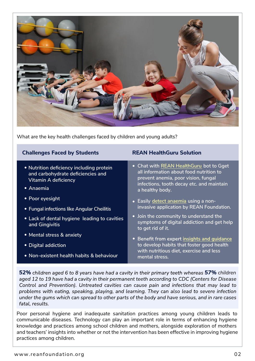

What are the key health challenges faced by children and young adults?

| <b>Challenges Faced by Students</b>                                                                                       | <b>REAN HealthGuru Solution</b>                                                                                                                                                           |
|---------------------------------------------------------------------------------------------------------------------------|-------------------------------------------------------------------------------------------------------------------------------------------------------------------------------------------|
| • Nutrition deficiency including protein<br>and carbohydrate deficiencies and<br><b>Vitamin A deficiency</b><br>• Anaemia | • Chat with REAN HealthGuru bot to Gget<br>all information about food nutrition to<br>prevent anemia, poor vision, fungal<br>infections, tooth decay etc. and maintain<br>a healthy body. |
| • Poor eyesight                                                                                                           | • Easily detect anaemia using a non-                                                                                                                                                      |
| • Fungal infections like Angular Cheilitis                                                                                | invasive application by REAN Foundation.                                                                                                                                                  |
| • Lack of dental hygiene leading to cavities<br>and Gingivitis                                                            | • Join the community to understand the<br>symptoms of digital addiction and get help<br>to get rid of it.                                                                                 |
| • Mental stress & anxiety                                                                                                 | • Benefit from expert insights and guidance                                                                                                                                               |
| • Digital addiction                                                                                                       | to develop habits that foster good health                                                                                                                                                 |
| • Non-existent health habits & behaviour                                                                                  | with nutritious diet, exercise and less<br>mental stress.                                                                                                                                 |

*52% 57% children* aged 12 to 19 have had a cavity in their permanent teeth according to CDC (Centers for Disease Control and Prevention). Untreated cavities can cause pain and infections that may lead to problems with eating, speaking, playing, and learning. They can also lead to severe infection under the gums which can spread to other parts of the body and have serious, and in rare cases fatal, results.

Poor personal hygiene and inadequate sanitation practices among young children leads to communicable diseases. Technology can play an important role in terms of enhancing hygiene knowledge and practices among school children and mothers, alongside exploration of mothers and teachers' insights into whether or not the intervention has been effective in improving hygiene practices among children.